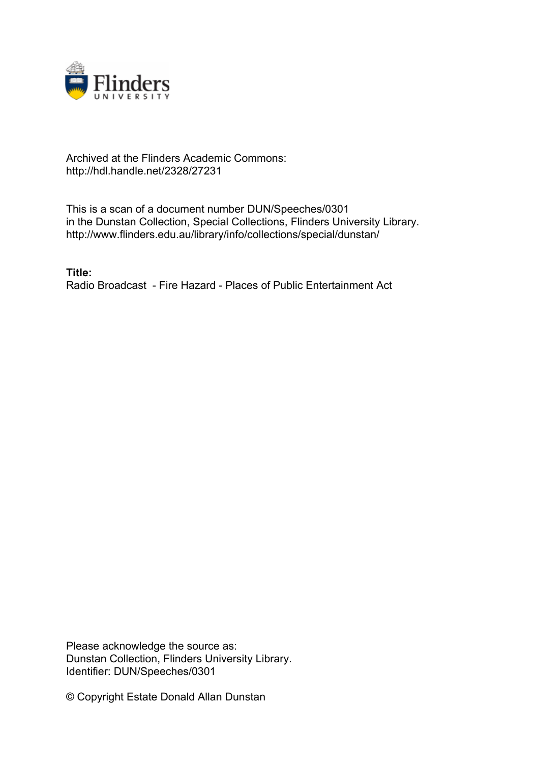

## Archived at the Flinders Academic Commons: http://hdl.handle.net/2328/27231

This is a scan of a document number DUN/Speeches/0301 in the Dunstan Collection, Special Collections, Flinders University Library. http://www.flinders.edu.au/library/info/collections/special/dunstan/

**Title:** Radio Broadcast - Fire Hazard - Places of Public Entertainment Act

Please acknowledge the source as: Dunstan Collection, Flinders University Library. Identifier: DUN/Speeches/0301

© Copyright Estate Donald Allan Dunstan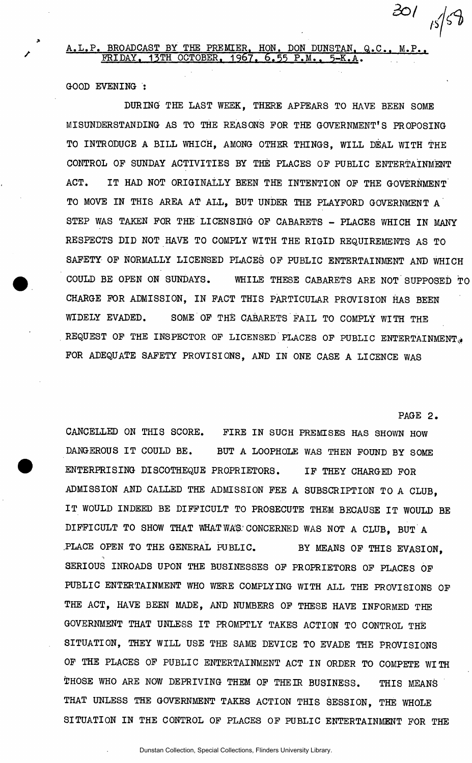## A.L.P. BROADCAST BY THE PREMIER. HON. DON DUNSTAN. Q.C.. M.P.. FRIDAY. 15TH OCTOBER, 1967. 6.55 P.M.. 5-K.A.

GOOD EVENING :

DURING THE LAST WEEK, THERE APPEARS TO HAVE BEEN SOME MISUNDERSTANDING AS TO THE REASONS FOR THE GOVERNMENT'S PROPOSING TO INTRODUCE A BILL WHICH, AMONG OTHER THINGS, WILL DEAL WITH THE CONTROL OF SUNDAY ACTIVITIES BY THE PLACES OF PUBLIC ENTERTAINMENT ACT. IT HAD NOT ORIGINALLY BEEN THE INTENTION OF THE GOVERNMENT TO MOVE IN THIS AREA AT ALL, BUT UNDER THE PLAYFORD GOVERNMENT A STEP WAS TAKEN FOR THE LICENSING OF CABARETS - PLACES WHICH IN MANY RESPECTS DID NOT HAVE TO COMPLY WITH THE RIGID REQUIREMENTS AS TO SAFETY OF NORMALLY LICENSED PLACES OF PUBLIC ENTERTAINMENT AND WHICH COULD BE OPEN ON SUNDAYS. WHILE THESE CABARETS ARE NOT SUPPOSED TO CHARGE FOR ADMISSION, IN FACT THIS PARTICULAR PROVISION HAS BEEN WIDELY EVADED. SOME OF THE CABARETS FAIL TO COMPLY WITH THE REQUEST OF THE INSPECTOR OF LICENSED PLACES OF PUBLIC ENTERTAINMENT. FOR ADEQUATE SAFETY PROVISIONS, AND IN ONE CASE A LICENCE WAS

PAGE 2.

CANCELLED ON THIS SCORE. FIRE IN SUCH PREMISES HAS SHOWN HOW DANGEROUS IT COULD BE. BUT A LOOPHOLE WAS THEN FOUND BY SOME ENTERPRISING DISCOTHEQUE PROPRIETORS. IF THEY CHARGED FOR ADMISSION AND CALLED THE ADMISSION FEE A SUBSCRIPTION TO A CLUB, IT WOULD INDEED BE DIFFICULT TO PROSECUTE THEM BECAUSE IT WOULD BE DIFFICULT TO SHOW THAT WHAT WAS.'CONCERNED WAS NOT A CLUB, BUT A .PLACE OPEN TO THE GENERAL PUBLIC. BY MEANS OF THIS EVASION, ገ -SERIOUS INROADS UPON THE BUSINESSES OF PROPRIETORS OF PLACES OF PUBLIC ENTERTAINMENT WHO WERE COMPLYING WITH ALL THE PROVISIONS OF THE ACT, HAVE BEEN MADE, AND NUMBERS OF THESE HAVE INFORMED THE GOVERNMENT THAT UNLESS IT PROMPTLY TAKES ACTION TO CONTROL THE SITUATION, THEY WILL USE THE SAME DEVICE TO EVADE THE PROVISIONS OF THE PLACES OF PUBLIC ENTERTAINMENT ACT IN ORDER TO COMPETE WITH THOSE WHO ARE NOW DEPRIVING THEM OF THEIR BUSINESS. THIS MEANS THAT UNLESS THE GOVERNMENT TAKES ACTION THIS SESSION, THE WHOLE SITUATION IN THE CONTROL OF PLACES OF PUBLIC ENTERTAINMENT FOR THE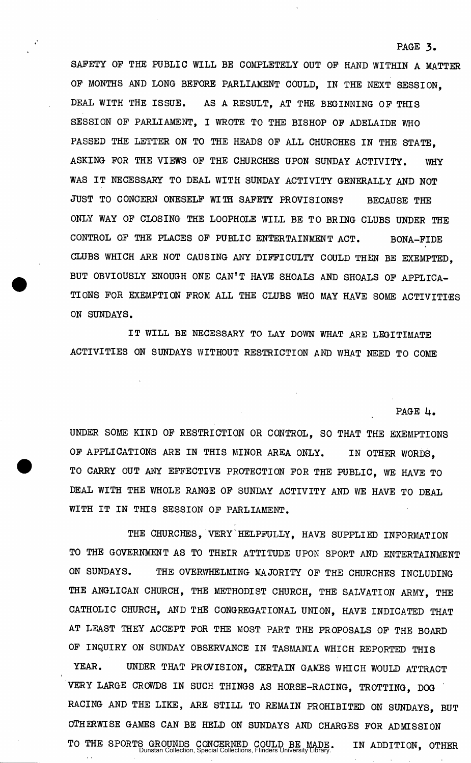SAFETY OP THE PUBLIC WILL BE COMPLETELY OUT OP HAND WITHIN A MATTER OP MONTHS AND LONG BEFORE PARLIAMENT COULD, IN THE NEXT SESSION, DEAL WITH THE ISSUE. AS A RESULT, AT THE BEGINNING OF THIS SESSION OF PARLIAMENT, I WROTE TO THE BISHOP OF ADELAIDE WHO PASSED THE LETTER ON TO THE HEADS OF ALL CHURCHES IN THE STATE, ASKING FOR THE VIEWS OF THE CHURCHES UPON SUNDAY ACTIVITY. WHY WAS IT NECESSARY TO DEAL WITH SUNDAY ACTIVITY GENERALLY AND NOT JUST TO CONCERN ONESELF WITH SAFETY PROVISIONS? BECAUSE THE ONLY WAY OF CLOSING THE LOOPHOLE WILL BE TO BRING CLUBS UNDER THE CONTROL OF THE PLACES OF PUBLIC ENTERTAINMENT ACT. BONA-FIDE CLUBS WHICH ARE NOT CAUSING ANY DIFFICULTY COULD THEN BE EXEMPTED, BUT OBVIOUSLY ENOUGH ONE CAN'T HAVE SHOALS AND SHOALS OP APPLICA-TIONS FOR EXEMPTION FROM ALL THE CLUBS WHO MAY HAVE SOME ACTIVITIES ON SUNDAYS.

IT WILL BE NECESSARY TO LAY DOWN WHAT ARE LEGITIMATE ACTIVITIES ON SUNDAYS WITHOUT RESTRICTION AND WHAT NEED TO COME

PAGE 4.

PAGE 3.

UNDER SOME KIND OF RESTRICTION OR CONTROL, SO THAT THE EXEMPTIONS OF APPLICATIONS ARE IN THIS MINOR AREA ONLY. IN OTHER WORDS, TO CARRY OUT ANY EFFECTIVE PROTECTION FOR THE PUBLIC, WE HAVE TO DEAL WITH THE WHOLE RANGE OF SUNDAY ACTIVITY AND WE HAVE TO DEAL WITH IT IN THIS SESSION OF PARLIAMENT.

THE CHURCHES, VERY HELPFULLY, HAVE SUPPLIED INFORMATION TO THE GOVERNMENT AS TO THEIR ATTITUDE UPON SPORT AND ENTERTAINMENT ON SUNDAYS. THE OVERWHELMING MAJORITY OP THE CHURCHES INCLUDING THE ANGLICAN CHURCH, THE METHODIST CHURCH, THE SALVATION ARMY, THE CATHOLIC CHURCH, AND THE CONGREGATIONAL UNION, HAVE INDICATED THAT AT LEAST THEY ACCEPT FOR THE MOST PART THE PROPOSALS OF THE BOARD OF INQUIRY ON SUNDAY OBSERVANCE IN TASMANIA WHICH REPORTED THIS YEAR. UNDER THAT PROVISION, CERTAIN GAMES WHICH WOULD ATTRACT VERY LARGE CROWDS IN SUCH THINGS AS HORSE-RACING, TROTTING, DOG RACING AND THE LIKE, ARE STILL TO REMAIN PROHIBITED ON SUNDAYS, BUT

OTHERWISE GAMES CAN BE HELD ON SUNDAYS AND CHARGES FOR ADMISSION

TO THE SPORTS GROUNDS CONCERNED COULD BE MADE. IN ADDITION, OTHER Dunstan Collection, Special Collections, Flinders University Library.

 $\ddot{\phantom{a}}$